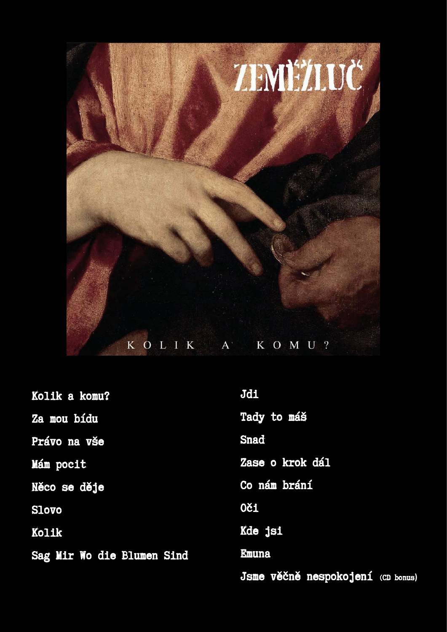

| Kolik a komu?              | Jdi                               |
|----------------------------|-----------------------------------|
| Za mou bídu                | Tady to máš                       |
| Právo na vše               | Snad                              |
| Mám pocit                  | Zase o krok dál                   |
| Něco se děje               | Co nám brání                      |
| Slovo                      | <b>0či</b>                        |
| Kolik                      | Kde jsi                           |
| Sag Mir Wo die Blumen Sind | <b>Enuna</b>                      |
|                            | Jsme věčně nespokojení (CD bonus) |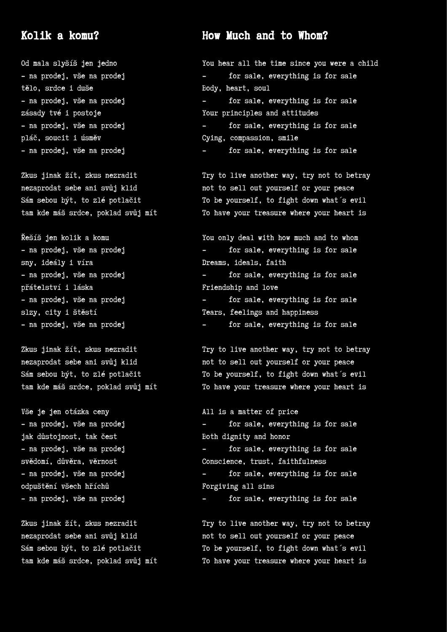### Kolik a komu?

Od mala slyšíš jen jedno - na prodej, vše na prodej tělo, srdce i duše - na prodej, vše na prodej zásady tvé i postoje - na prodej, vše na prodej pláč, soucit i úsměv - na prodej, vše na prodej

Zkus jinak žít, zkus nezradit nezaprodat sebe ani svůj klid Sám sebou být, to zlé potlačit tam kde máš srdce, poklad svůj mít

Řešíš jen kolik a komu - na prodej, vše na prodej sny, ideály i víra - na prodej, vše na prodej přátelství i láska - na prodej, vše na prodej slzy, city i štěstí - na prodej, vše na prodej

Zkus jinak žít, zkus nezradit nezaprodat sebe ani svůj klid Sám sebou být, to zlé potlačit tam kde máš srdce, poklad svůj mít

Vše je jen otázka ceny - na prodej, vše na prodej jak důstojnost, tak čest - na prodej, vše na prodej svědomí, důvěra, věrnost - na prodej, vše na prodej odpuštění všech hříchů - na prodej, vše na prodej

Zkus jinak žít, zkus nezradit nezaprodat sebe ani svůj klid Sám sebou být, to zlé potlačit tam kde máš srdce, poklad svůj mít

# How Much and to Whom?

You hear all the time since you were a child - for sale, everything is for sale Body, heart, soul for sale, everything is for sale Your principles and attitudes for sale, everything is for sale Cying, compassion, smile for sale, everything is for sale

Try to live another way, try not to betray not to sell out yourself or your peace To be yourself, to fight down what´s evil To have your treasure where your heart is

You only deal with how much and to whom - for sale, everything is for sale Dreams, ideals, faith - for sale, everything is for sale Friendship and love - for sale, everything is for sale Tears, feelings and happiness - for sale, everything is for sale

Try to live another way, try not to betray not to sell out yourself or your peace To be yourself, to fight down what´s evil To have your treasure where your heart is

All is a matter of price for sale, everything is for sale Both dignity and honor for sale, everything is for sale Conscience, trust, faithfulness for sale, everything is for sale Forgiving all sins - for sale, everything is for sale

Try to live another way, try not to betray not to sell out yourself or your peace To be yourself, to fight down what´s evil To have your treasure where your heart is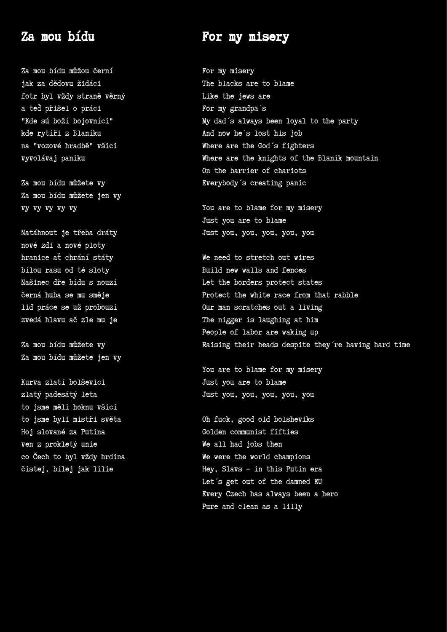# Za mou bídu

Za mou bídu můžou černí jak za dědovu židáci fotr byl vždy straně věrný a teď přišel o práci "Kde sú boží bojovníci" kde rytíři z Blaníku na "vozové hradbě" všici vyvolávaj paniku

Za mou bídu můžete vy Za mou bídu můžete jen vy vy vy vy vy vy

Natáhnout je třeba dráty nové zdi a nové ploty hranice ať chrání státy bílou rasu od té sloty Našinec dře bídu s nouzí černá huba se mu směje lid práce se už probouzí zvedá hlavu ač zle mu je

Za mou bídu můžete vy Za mou bídu můžete jen vy

Kurva zlatí bolševici zlatý padesátý leta to jsme měli hoknu všici to jsme byli mistři světa Hoj slované za Putina ven z prokletý unie co Čech to byl vždy hrdina čistej, bílej jak lilie

# For my misery

For my misery The blacks are to blame Like the jews are For my grandpa´s My dad´s always been loyal to the party And now he´s lost his job Where are the God´s fighters Where are the knights of the Blanik mountain On the barrier of chariots Everybody´s creating panic

You are to blame for my misery Just you are to blame Just you, you, you, you, you

We need to stretch out wires Build new walls and fences Let the borders protect states Protect the white race from that rabble Our man scratches out a living The nigger is laughing at him People of labor are waking up Raising their heads despite they´re having hard time

You are to blame for my misery Just you are to blame Just you, you, you, you, you

Oh fuck, good old bolsheviks Golden communist fifties We all had jobs then We were the world champions Hey, Slavs – in this Putin era Let´s get out of the damned EU Every Czech has always been a hero Pure and clean as a lilly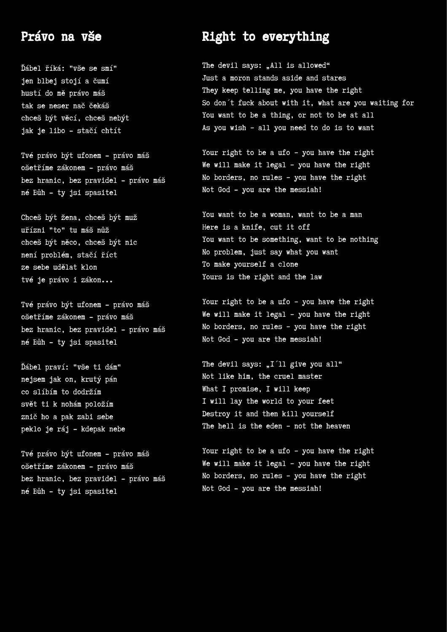# Právo na vše

Ďábel říká: "vše se smí" jen blbej stojí a čumí hustí do mě právo máš tak se neser nač čekáš chceš být věcí, chceš nebýt jak je libo - stačí chtít

Tvé právo být ufonem - právo máš ošetříme zákonem - právo máš bez hranic, bez pravidel - právo máš né Bůh - ty jsi spasitel

Chceš být žena, chceš být muž uřízni "to" tu máš nůž chceš být něco, chceš být nic není problém, stačí říct ze sebe udělat klon tvé je právo i zákon...

Tvé právo být ufonem - právo máš ošetříme zákonem - právo máš bez hranic, bez pravidel - právo máš né Bůh - ty jsi spasitel

Ďábel praví: "vše ti dám" nejsem jak on, krutý pán co slíbím to dodržím svět ti k nohám položím znič ho a pak zabi sebe peklo je ráj - kdepak nebe

Tvé právo být ufonem - právo máš ošetříme zákonem - právo máš bez hranic, bez pravidel - právo máš né Bůh - ty jsi spasitel

# Right to everything

The devil says: "All is allowed" Just a moron stands aside and stares They keep telling me, you have the right So don´t fuck about with it, what are you waiting for You want to be a thing, or not to be at all As you wish – all you need to do is to want

Your right to be a ufo – you have the right We will make it legal – you have the right No borders, no rules – you have the right Not God - you are the messiah!

You want to be a woman, want to be a man Here is a knife, cut it off You want to be something, want to be nothing No problem, just say what you want To make yourself a clone Yours is the right and the law

Your right to be a ufo – you have the right We will make it legal – you have the right No borders, no rules – you have the right Not God - you are the messiah!

The devil says:  $\Pi$ <sup>'ll</sup> give you all" Not like him, the cruel master What I promise, I will keep I will lay the world to your feet Destroy it and then kill yourself The hell is the eden – not the heaven

Your right to be a ufo - you have the right We will make it legal – you have the right No borders, no rules – you have the right Not God - you are the messiah!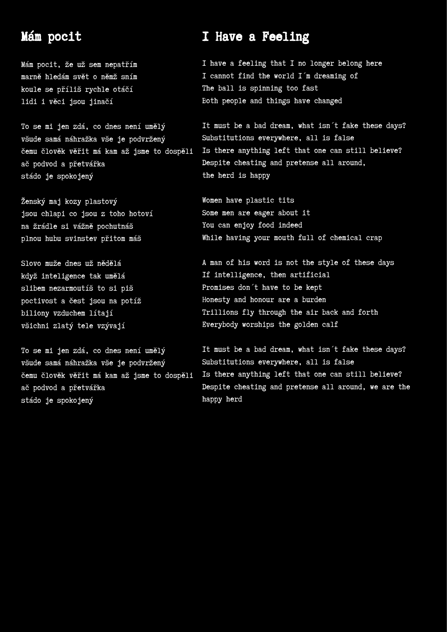# Mám pocit

Mám pocit, že už sem nepatřím marně hledám svět o němž sním koule se příliš rychle otáčí lidi i věci jsou jinačí

To se mi jen zdá, co dnes není umělý všude samá náhražka vše je podvržený čemu člověk věřit má kam až jsme to dospěli ač podvod a přetvářka stádo je spokojený

Ženský maj kozy plastový jsou chlapi co jsou z toho hotoví na žrádle si vážně pochutnáš plnou hubu svinstev přitom máš

Slovo muže dnes už nědělá když inteligence tak umělá slibem nezarmoutíš to si piš poctivost a čest jsou na potíž biliony vzduchem lítají všichni zlatý tele vzývají

To se mi jen zdá, co dnes není umělý všude samá náhražka vše je podvržený čemu člověk věřit má kam až jsme to dospěli ač podvod a přetvářka stádo je spokojený

# I Have a Feeling

I have a feeling that I no longer belong here I cannot find the world I´m dreaming of The ball is spinning too fast Both people and things have changed

It must be a bad dream, what isn´t fake these days? Substitutions everywhere, all is false Is there anything left that one can still believe? Despite cheating and pretense all around, the herd is happy

Women have plastic tits Some men are eager about it You can enjoy food indeed While having your mouth full of chemical crap

A man of his word is not the style of these days If intelligence, then artificial Promises don´t have to be kept Honesty and honour are a burden Trillions fly through the air back and forth Everybody worships the golden calf

It must be a bad dream, what isn´t fake these days? Substitutions everywhere, all is false Is there anything left that one can still believe? Despite cheating and pretense all around, we are the happy herd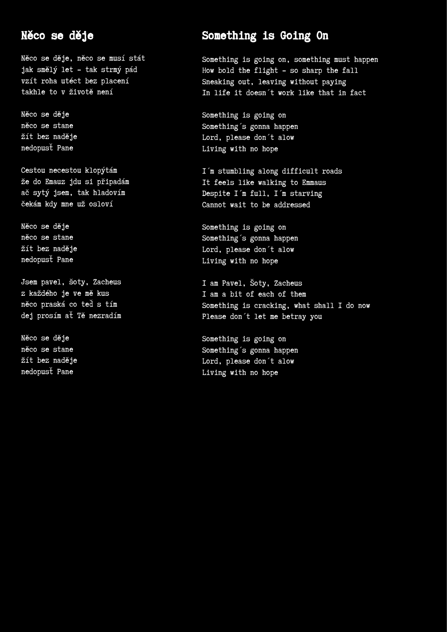# Něco se děje

Něco se děje, něco se musí stát jak smělý let - tak strmý pád vzít roha utéct bez placení takhle to v životě není

Něco se děje něco se stane žít bez naděje nedopusť Pane

Cestou necestou klopýtám že do Emauz jdu si připadám ač sytý jsem, tak hladovím čekám kdy mne už osloví

Něco se děje něco se stane žít bez naděje nedopusť Pane

Jsem pavel, šoty, Zacheus z každého je ve mě kus něco praská co teď s tím dej prosím ať Tě nezradím

Něco se děje něco se stane žít bez naděje nedopusť Pane

# Something is Going On

Something is going on, something must happen How bold the flight - so sharp the fall Sneaking out, leaving without paying In life it doesn´t work like that in fact

Something is going on Something´s gonna happen Lord, please don´t alow Living with no hope

I´m stumbling along difficult roads It feels like walking to Emmaus Despite I´m full, I´m starving Cannot wait to be addressed

Something is going on Something´s gonna happen Lord, please don´t alow Living with no hope

I am Pavel, Šoty, Zacheus I am a bit of each of them Something is cracking, what shall I do now Please don´t let me betray you

Something is going on Something´s gonna happen Lord, please don´t alow Living with no hope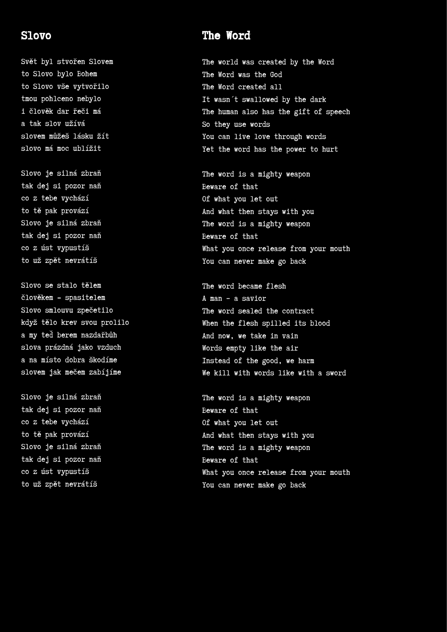#### Slovo

Svět byl stvořen Slovem to Slovo bylo Bohem to Slovo vše vytvořilo tmou pohlceno nebylo i člověk dar řeči má a tak slov užívá slovem můžeš lásku žít slovo má moc ublížit

Slovo je silná zbraň tak dej si pozor naň co z tebe vychází to tě pak provází Slovo je silná zbraň tak dej si pozor naň co z úst vypustíš to už zpět nevrátíš

Slovo se stalo tělem člověkem - spasitelem Slovo smlouvu zpečetilo když tělo krev svou prolilo a my teď berem nazdařbůh slova prázdná jako vzduch a na místo dobra škodíme slovem jak mečem zabíjíme

Slovo je silná zbraň tak dej si pozor naň co z tebe vychází to tě pak provází Slovo je silná zbraň tak dej si pozor naň co z úst vypustíš to už zpět nevrátíš

# The Word

The world was created by the Word The Word was the God The Word created all It wasn´t swallowed by the dark The human also has the gift of speech So they use words You can live love through words Yet the word has the power to hurt

The word is a mighty weapon Beware of that Of what you let out And what then stays with you The word is a mighty weapon Beware of that What you once release from your mouth You can never make go back

The word became flesh A man – a savior The word sealed the contract When the flesh spilled its blood And now, we take in vain Words empty like the air Instead of the good, we harm We kill with words like with a sword

The word is a mighty weapon Beware of that Of what you let out And what then stays with you The word is a mighty weapon Beware of that What you once release from your mouth You can never make go back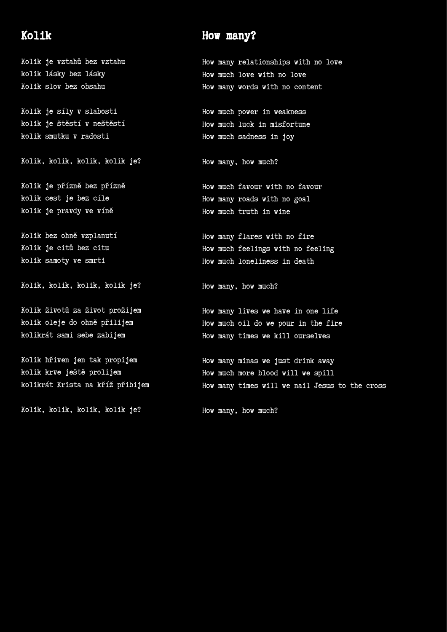# Kolik

Kolik je vztahů bez vztahu kolik lásky bez lásky Kolik slov bez obsahu

Kolik je síly v slabosti kolik je štěstí v neštěstí kolik smutku v radosti

Kolik, kolik, kolik, kolik je?

Kolik je přízně bez přízně kolik cest je bez cíle kolik je pravdy ve víně

Kolik bez ohně vzplanutí Kolik je citů bez citu kolik samoty ve smrti

Kolik, kolik, kolik, kolik je?

Kolik životů za život prožijem kolik oleje do ohně přilijem kolikrát sami sebe zabijem

Kolik hřiven jen tak propijem kolik krve ještě prolijem kolikrát Krista na kříž přibijem

Kolik, kolik, kolik, kolik je?

### How many?

How many relationships with no love How much love with no love How many words with no content

How much power in weakness How much luck in misfortune How much sadness in joy

How many, how much?

How much favour with no favour How many roads with no goal How much truth in wine

How many flares with no fire How much feelings with no feeling How much loneliness in death

How many, how much?

How many lives we have in one life How much oil do we pour in the fire How many times we kill ourselves

How many minas we just drink away How much more blood will we spill How many times will we nail Jesus to the cross

How many, how much?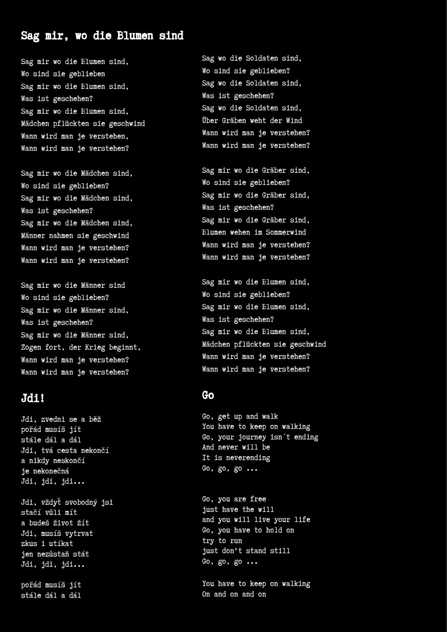# Sag mir, wo die Blumen sind

Sag mir wo die Blumen sind, Wo sind sie geblieben Sag mir wo die Blumen sind, Was ist geschehen? Sag mir wo die Blumen sind, Mädchen pflückten sie geschwind Wann wird man je verstehen, Wann wird man je verstehen?

Sag mir wo die Mädchen sind, Wo sind sie geblieben? Sag mir wo die Mädchen sind, Was ist geschehen? Sag mir wo die Mädchen sind, Männer nahmen sie geschwind Wann wird man je verstehen? Wann wird man je verstehen?

Sag mir wo die Männer sind Wo sind sie geblieben? Sag mir wo die Männer sind, Was ist geschehen? Sag mir wo die Männer sind, Zogen fort, der Krieg beginnt, Wann wird man je verstehen? Wann wird man je verstehen?

#### Jdi!

Jdi, zvedni se a běž pořád musíš jít stále dál a dál Jdi, tvá cesta nekončí a nikdy neskončí je nekonečná Jdi, jdi, jdi...

Jdi, vždyť svobodný jsi stačí vůli mít a budeš život žít Jdi, musíš vytrvat zkus i utíkat jen nezůstaň stát Jdi, jdi, jdi...

pořád musíš jít stále dál a dál

Sag wo die Soldaten sind, Wo sind sie geblieben? Sag wo die Soldaten sind, Was ist geschehen? Sag wo die Soldaten sind, Über Gräben weht der Wind Wann wird man je verstehen? Wann wird man je verstehen?

Sag mir wo die Gräber sind, Wo sind sie geblieben? Sag mir wo die Gräber sind, Was ist geschehen? Sag mir wo die Gräber sind, Blumen wehen im Sommerwind Wann wird man je verstehen? Wann wird man je verstehen?

Sag mir wo die Blumen sind, Wo sind sie geblieben? Sag mir wo die Blumen sind, Was ist geschehen? Sag mir wo die Blumen sind, Mädchen pflückten sie geschwind Wann wird man je verstehen? Wann wird man je verstehen?

#### Go

Go, get up and walk You have to keep on walking Go, your journey isn´t ending And never will be It is neverending Go, go, go ...

Go, you are free just have the will and you will live your life Go, you have to hold on try to run just don't stand still Go, go, go ...

You have to keep on walking On and on and on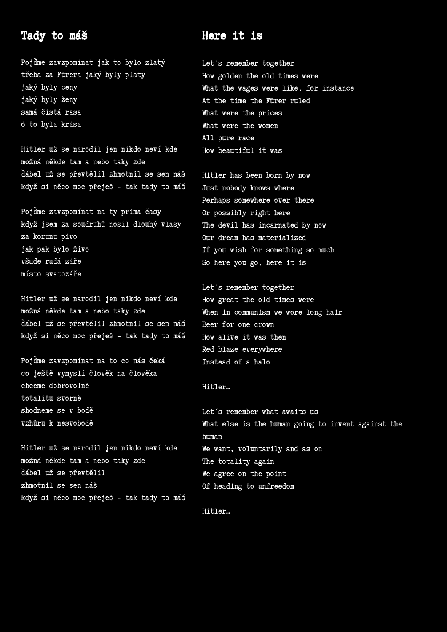# Tady to máš

Pojďme zavzpomínat jak to bylo zlatý třeba za Fürera jaký byly platy jaký byly ceny jaký byly ženy samá čistá rasa ó to byla krása

Hitler už se narodil jen nikdo neví kde možná někde tam a nebo taky zde ďábel už se převtělil zhmotnil se sen náš když si něco moc přeješ - tak tady to máš

Pojďme zavzpomínat na ty prima časy když jsem za soudruhů nosil dlouhý vlasy za korunu pivo jak pak bylo živo všude rudá záře místo svatozáře

Hitler už se narodil jen nikdo neví kde možná někde tam a nebo taky zde ďábel už se převtělil zhmotnil se sen náš když si něco moc přeješ - tak tady to máš

Pojďme zavzpomínat na to co nás čeká co ještě vymyslí člověk na člověka chceme dobrovolně totalitu svorně shodneme se v bodě vzhůru k nesvobodě

Hitler už se narodil jen nikdo neví kde možná někde tam a nebo taky zde ďábel už se převtělil zhmotnil se sen náš když si něco moc přeješ - tak tady to máš

### Here it is

Let´s remember together How golden the old times were What the wages were like, for instance At the time the Fürer ruled What were the prices What were the women All pure race How beautiful it was

Hitler has been born by now Just nobody knows where Perhaps somewhere over there Or possibly right here The devil has incarnated by now Our dream has materialized If you wish for something so much So here you go, here it is

Let´s remember together How great the old times were When in communism we wore long hair Beer for one crown How alive it was then Red blaze everywhere Instead of a halo

#### Hitler…

Let´s remember what awaits us What else is the human going to invent against the human We want, voluntarily and as on The totality again We agree on the point Of heading to unfreedom

Hitler…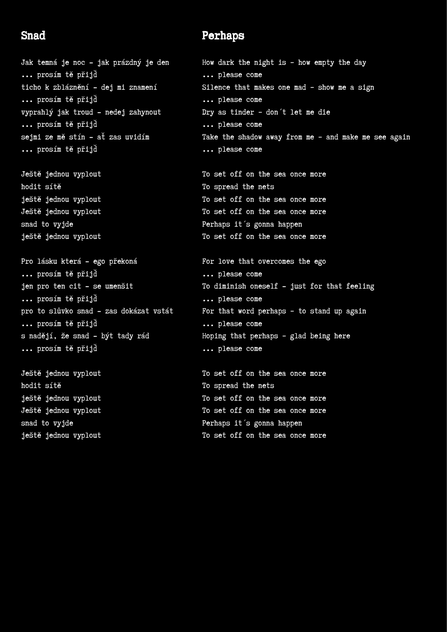### Snad

Jak temná je noc - jak prázdný je den ... prosím tě přijď ticho k zbláznění - dej mi znamení ... prosím tě přijď vyprahlý jak troud - nedej zahynout ... prosím tě přijď sejmi ze mě stín - ať zas uvidím ... prosím tě přijď

Ještě jednou vyplout hodit sítě ještě jednou vyplout Ještě jednou vyplout snad to vyjde ještě jednou vyplout

Pro lásku která - ego překoná ... prosím tě přijď jen pro ten cit - se umenšit ... prosím tě přijď pro to slůvko snad - zas dokázat vstát ... prosím tě přijď s nadějí, že snad - být tady rád ... prosím tě přijď

Ještě jednou vyplout hodit sítě ještě jednou vyplout Ještě jednou vyplout snad to vyjde ještě jednou vyplout

### Perhaps

How dark the night is – how empty the day ... please come Silence that makes one mad – show me a sign ... please come Dry as tinder – don´t let me die ... please come Take the shadow away from me – and make me see again ... please come

To set off on the sea once more To spread the nets To set off on the sea once more To set off on the sea once more Perhaps it´s gonna happen To set off on the sea once more

For love that overcomes the ego ... please come To diminish oneself - just for that feeling ... please come For that word perhaps – to stand up again ... please come Hoping that perhaps – glad being here ... please come

To set off on the sea once more To spread the nets To set off on the sea once more To set off on the sea once more Perhaps it´s gonna happen To set off on the sea once more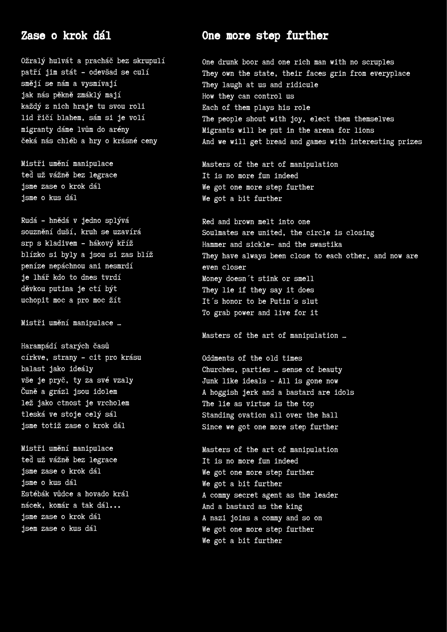#### Zase o krok dál

Ožralý hulvát a pracháč bez skrupulí patří jim stát - odevšad se culí smějí se nám a vysmívají jak nás pěkně zmáklý mají každý z nich hraje tu svou roli lid řičí blahem, sám si je volí migranty dáme lvům do arény čeká nás chléb a hry o krásné ceny

Mistři umění manipulace teď už vážně bez legrace jsme zase o krok dál jsme o kus dál

Rudá - hnědá v jedno splývá souznění duší, kruh se uzavírá srp s kladivem - hákový kříž blízko si byly a jsou si zas blíž peníze nepáchnou ani nesmrdí je lhář kdo to dnes tvrdí děvkou putina je ctí být uchopit moc a pro moc žít

Mistři umění manipulace …

Harampádí starých časů církve, strany - cit pro krásu balast jako ideály vše je pryč, ty za své vzaly Čuně a grázl jsou idolem lež jako ctnost je vrcholem tleská ve stoje celý sál jsme totiž zase o krok dál

Mistři umění manipulace teď už vážně bez legrace jsme zase o krok dál jsme o kus dál Estébák vůdce a hovado král nácek, komár a tak dál... jsme zase o krok dál jsem zase o kus dál

### One more step further

One drunk boor and one rich man with no scruples They own the state, their faces grin from everyplace They laugh at us and ridicule How they can control us Each of them plays his role The people shout with joy, elect them themselves Migrants will be put in the arena for lions And we will get bread and games with interesting prizes

Masters of the art of manipulation It is no more fun indeed We got one more step further We got a bit further

Red and brown melt into one Soulmates are united, the circle is closing Hammer and sickle– and the swastika They have always been close to each other, and now are even closer Money doesn´t stink or smell They lie if they say it does It´s honor to be Putin´s slut To grab power and live for it

Masters of the art of manipulation …

Oddments of the old times Churches, parties … sense of beauty Junk like ideals – All is gone now A hoggish jerk and a bastard are idols The lie as virtue is the top Standing ovation all over the hall Since we got one more step further

Masters of the art of manipulation It is no more fun indeed We got one more step further We got a bit further A commy secret agent as the leader And a bastard as the king A nazi joins a commy and so on We got one more step further We got a bit further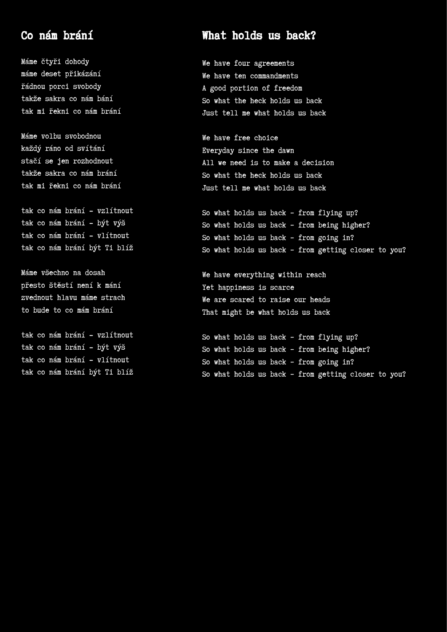# Co nám brání

Máme čtyři dohody máme deset přikázání řádnou porci svobody takže sakra co nám bání tak mi řekni co nám brání

Máme volbu svobodnou každý ráno od svítání stačí se jen rozhodnout takže sakra co nám brání tak mi řekni co nám brání

tak co nám brání - vzlítnout tak co nám brání - být výš tak co nám brání - vlítnout tak co nám brání být Ti blíž

Máme všechno na dosah přesto štěstí není k mání zvednout hlavu máme strach to bude to co mám brání

tak co nám brání - vzlítnout tak co nám brání - být výš tak co nám brání - vlítnout tak co nám brání být Ti blíž

# What holds us back?

We have four agreements We have ten commandments A good portion of freedom So what the heck holds us back Just tell me what holds us back

We have free choice Everyday since the dawn All we need is to make a decision So what the heck holds us back Just tell me what holds us back

So what holds us back – from flying up? So what holds us back – from being higher? So what holds us back – from going in? So what holds us back – from getting closer to you?

We have everything within reach Yet happiness is scarce We are scared to raise our heads That might be what holds us back

So what holds us back – from flying up? So what holds us back – from being higher? So what holds us back – from going in? So what holds us back – from getting closer to you?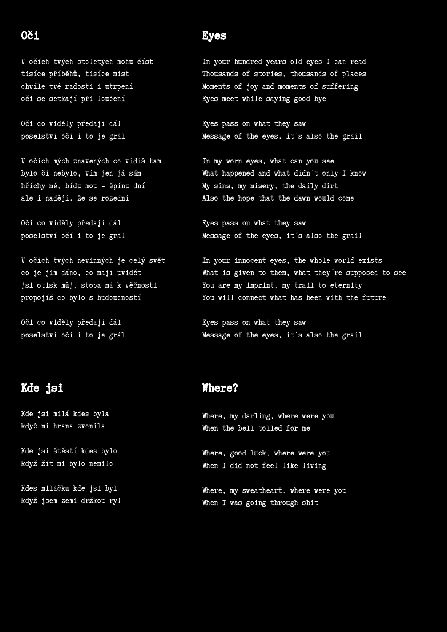# Oči

V očích tvých stoletých mohu číst tisíce příběhů, tisíce míst chvíle tvé radosti i utrpení oči se setkají při loučení

Oči co viděly předají dál poselství očí i to je grál

V očích mých znavených co vidíš tam bylo či nebylo, vím jen já sám hříchy mé, bídu mou - špínu dní ale i naději, že se rozední

Oči co viděly předají dál poselství očí i to je grál

V očích tvých nevinných je celý svět co je jim dáno, co mají uvidět jsi otisk můj, stopa má k věčnosti propojíš co bylo s budoucností

Oči co viděly předají dál poselství očí i to je grál

#### Eyes

In your hundred years old eyes I can read Thousands of stories, thousands of places Moments of joy and moments of suffering Eyes meet while saying good bye

Eyes pass on what they saw Message of the eyes, it´s also the grail

In my worn eyes, what can you see What happened and what didn't only I know My sins, my misery, the daily dirt Also the hope that the dawn would come

Eyes pass on what they saw Message of the eyes, it´s also the grail

In your innocent eyes, the whole world exists What is given to them, what they're supposed to see You are my imprint, my trail to eternity You will connect what has been with the future

Eyes pass on what they saw Message of the eyes, it´s also the grail

# Kde jsi

Kde jsi milá kdes byla když mi hrana zvonila

Kde jsi štěstí kdes bylo když žít mi bylo nemilo

Kdes miláčku kde jsi byl když jsem zemi držkou ryl

#### Where?

Where, my darling, where were you When the bell tolled for me

Where, good luck, where were you When I did not feel like living

Where, my sweatheart, where were you When I was going through shit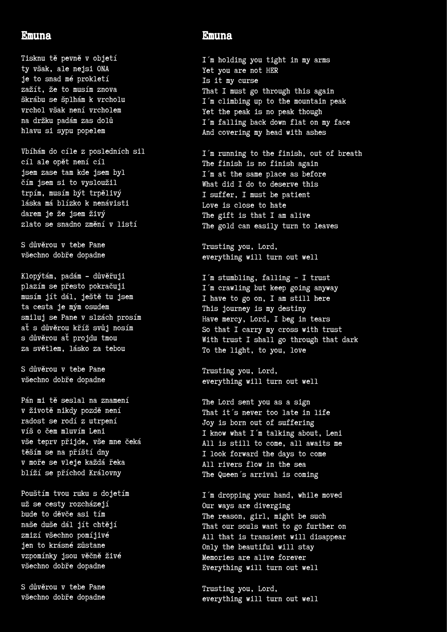#### Emuna

Tisknu tě pevně v objetí ty však, ale nejsi ONA je to snad mé prokletí zažít, že to musím znova škrábu se šplhám k vrcholu vrchol však není vrcholem na držku padám zas dolů hlavu si sypu popelem

Vbíhám do cíle z posledních sil cíl ale opět není cíl jsem zase tam kde jsem byl čím jsem si to vysloužil trpím, musím být trpělivý láska má blízko k nenávisti darem je že jsem živý zlato se snadno změní v listí

S důvěrou v tebe Pane všechno dobře dopadne

Klopýtám, padám - důvěřuji plazím se přesto pokračuji musím jít dál, ještě tu jsem ta cesta je mým osudem smiluj se Pane v slzách prosím ať s důvěrou kříž svůj nosím s důvěrou ať projdu tmou za světlem, lásko za tebou

S důvěrou v tebe Pane všechno dobře dopadne

Pán mi tě seslal na znamení v životě nikdy pozdě není radost se rodí z utrpení víš o čem mluvím Leni vše teprv přijde, vše mne čeká těším se na příští dny v moře se vleje každá řeka blíží se příchod Královny

Pouštím tvou ruku s dojetím už se cesty rozcházejí bude to děvče asi tím naše duše dál jít chtějí zmizí všechno pomíjivé jen to krásné zůstane vzpomínky jsou věčně živé všechno dobře dopadne

S důvěrou v tebe Pane všechno dobře dopadne

#### Emuna

I´m holding you tight in my arms Yet you are not HER Is it my curse That I must go through this again I´m climbing up to the mountain peak Yet the peak is no peak though I'm falling back down flat on my face And covering my head with ashes

I´m running to the finish, out of breath The finish is no finish again I'm at the same place as before What did I do to deserve this I suffer, I must be patient Love is close to hate The gift is that I am alive The gold can easily turn to leaves

Trusting you, Lord, everything will turn out well

I´m stumbling, falling – I trust I´m crawling but keep going anyway I have to go on, I am still here This journey is my destiny Have mercy, Lord, I beg in tears So that I carry my cross with trust With trust I shall go through that dark To the light, to you, love

Trusting you, Lord, everything will turn out well

The Lord sent you as a sign That it´s never too late in life Joy is born out of suffering I know what I´m talking about, Leni All is still to come, all awaits me I look forward the days to come All rivers flow in the sea The Queen´s arrival is coming

I´m dropping your hand, while moved Our ways are diverging The reason, girl, might be such That our souls want to go further on All that is transient will disappear Only the beautiful will stay Memories are alive forever Everything will turn out well

Trusting you, Lord, everything will turn out well